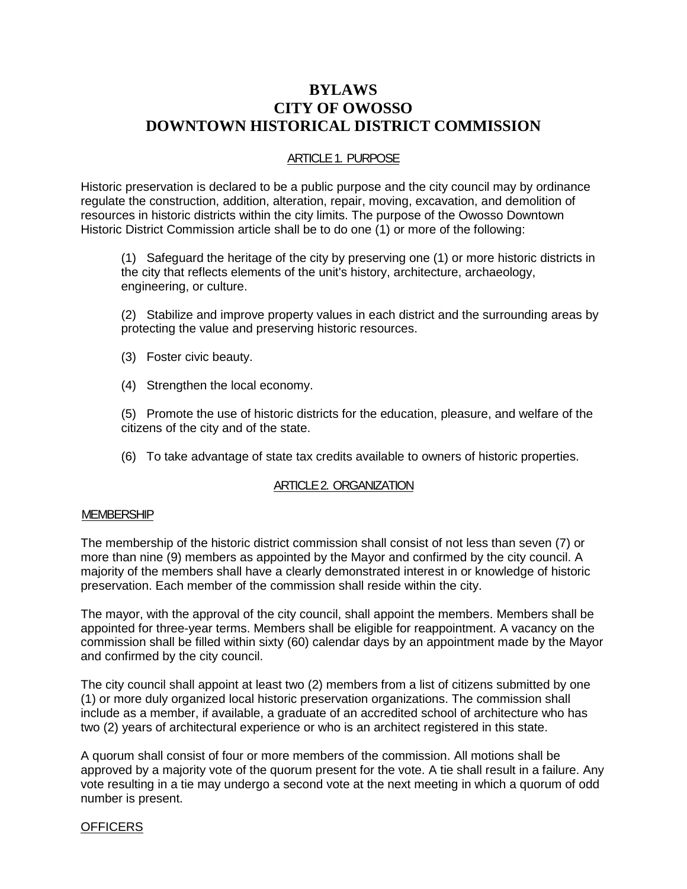# **BYLAWS CITY OF OWOSSO DOWNTOWN HISTORICAL DISTRICT COMMISSION**

#### ARTICLE 1. PURPOSE

Historic preservation is declared to be a public purpose and the city council may by ordinance regulate the construction, addition, alteration, repair, moving, excavation, and demolition of resources in historic districts within the city limits. The purpose of the Owosso Downtown Historic District Commission article shall be to do one (1) or more of the following:

(1) Safeguard the heritage of the city by preserving one (1) or more historic districts in the city that reflects elements of the unit's history, architecture, archaeology, engineering, or culture.

(2) Stabilize and improve property values in each district and the surrounding areas by protecting the value and preserving historic resources.

- (3) Foster civic beauty.
- (4) Strengthen the local economy.

(5) Promote the use of historic districts for the education, pleasure, and welfare of the citizens of the city and of the state.

(6) To take advantage of state tax credits available to owners of historic properties.

### ARTICLE 2. ORGANIZATION

#### **MEMBERSHIP**

The membership of the historic district commission shall consist of not less than seven (7) or more than nine (9) members as appointed by the Mayor and confirmed by the city council. A majority of the members shall have a clearly demonstrated interest in or knowledge of historic preservation. Each member of the commission shall reside within the city.

The mayor, with the approval of the city council, shall appoint the members. Members shall be appointed for three-year terms. Members shall be eligible for reappointment. A vacancy on the commission shall be filled within sixty (60) calendar days by an appointment made by the Mayor and confirmed by the city council.

The city council shall appoint at least two (2) members from a list of citizens submitted by one (1) or more duly organized local historic preservation organizations. The commission shall include as a member, if available, a graduate of an accredited school of architecture who has two (2) years of architectural experience or who is an architect registered in this state.

A quorum shall consist of four or more members of the commission. All motions shall be approved by a majority vote of the quorum present for the vote. A tie shall result in a failure. Any vote resulting in a tie may undergo a second vote at the next meeting in which a quorum of odd number is present.

#### **OFFICERS**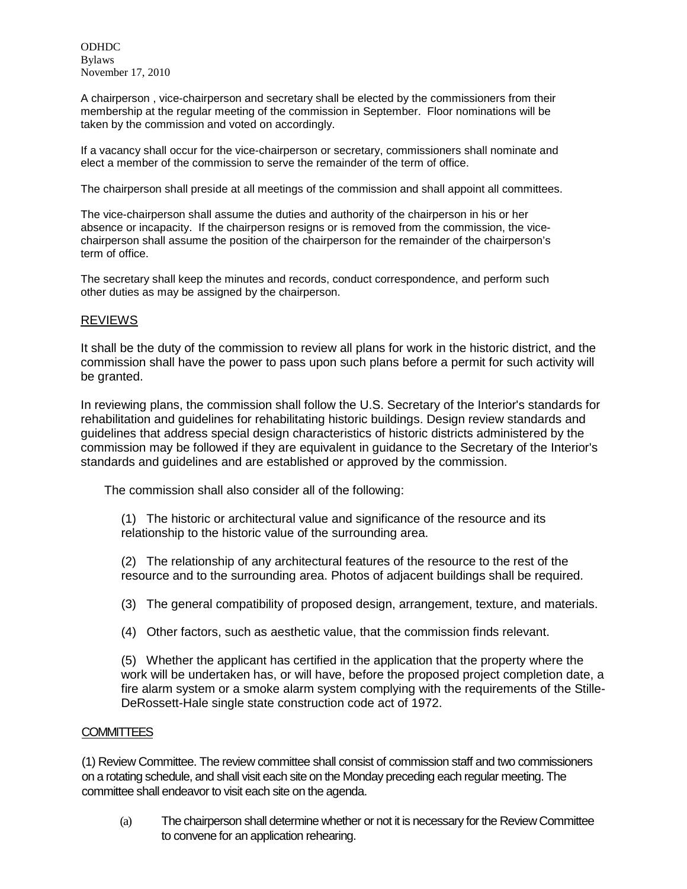ODHDC Bylaws November 17, 2010

A chairperson , vice-chairperson and secretary shall be elected by the commissioners from their membership at the regular meeting of the commission in September. Floor nominations will be taken by the commission and voted on accordingly.

If a vacancy shall occur for the vice-chairperson or secretary, commissioners shall nominate and elect a member of the commission to serve the remainder of the term of office.

The chairperson shall preside at all meetings of the commission and shall appoint all committees.

The vice-chairperson shall assume the duties and authority of the chairperson in his or her absence or incapacity. If the chairperson resigns or is removed from the commission, the vicechairperson shall assume the position of the chairperson for the remainder of the chairperson's term of office.

The secretary shall keep the minutes and records, conduct correspondence, and perform such other duties as may be assigned by the chairperson.

#### REVIEWS

It shall be the duty of the commission to review all plans for work in the historic district, and the commission shall have the power to pass upon such plans before a permit for such activity will be granted.

In reviewing plans, the commission shall follow the U.S. Secretary of the Interior's standards for rehabilitation and guidelines for rehabilitating historic buildings. Design review standards and guidelines that address special design characteristics of historic districts administered by the commission may be followed if they are equivalent in guidance to the Secretary of the Interior's standards and guidelines and are established or approved by the commission.

The commission shall also consider all of the following:

(1) The historic or architectural value and significance of the resource and its relationship to the historic value of the surrounding area.

(2) The relationship of any architectural features of the resource to the rest of the resource and to the surrounding area. Photos of adjacent buildings shall be required.

(3) The general compatibility of proposed design, arrangement, texture, and materials.

(4) Other factors, such as aesthetic value, that the commission finds relevant.

(5) Whether the applicant has certified in the application that the property where the work will be undertaken has, or will have, before the proposed project completion date, a fire alarm system or a smoke alarm system complying with the requirements of the Stille-DeRossett-Hale single state construction code act of 1972.

#### **COMMITTEES**

(1) Review Committee. The review committee shall consist of commission staff and two commissioners on a rotating schedule, and shall visit each site on the Monday preceding each regular meeting. The committee shall endeavor to visit each site on the agenda.

(a) The chairperson shall determine whether or not it is necessary for the Review Committee to convene for an application rehearing.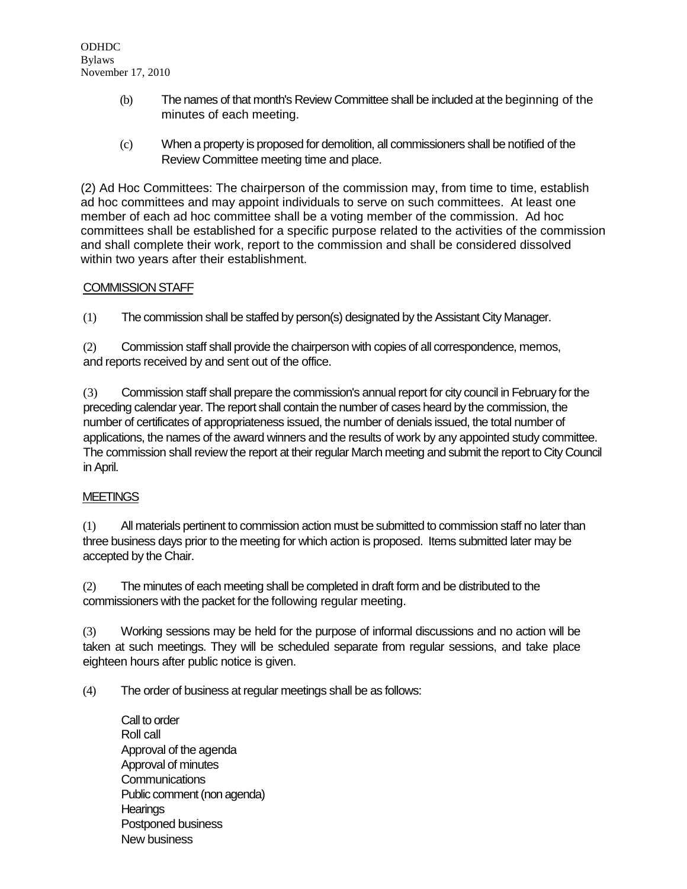- (b) The names of that month's Review Committee shall be included at the beginning of the minutes of each meeting.
- (c) When a property is proposed for demolition, all commissioners shall be notified of the Review Committee meeting time and place.

(2) Ad Hoc Committees: The chairperson of the commission may, from time to time, establish ad hoc committees and may appoint individuals to serve on such committees. At least one member of each ad hoc committee shall be a voting member of the commission. Ad hoc committees shall be established for a specific purpose related to the activities of the commission and shall complete their work, report to the commission and shall be considered dissolved within two years after their establishment.

### COMMISSION STAFF

(1) The commission shall be staffed by person(s) designated by the Assistant City Manager.

(2) Commission staff shall provide the chairperson with copies of all correspondence, memos, and reports received by and sent out of the office.

(3) Commission staff shall prepare the commission's annual report for city council in February for the preceding calendar year. The report shall contain the number of cases heard by the commission, the number of certificates of appropriateness issued, the number of denials issued, the total number of applications, the names of the award winners and the results of work by any appointed study committee. The commission shall review the report at their regular March meeting and submit the report to City Council in April.

### **MEETINGS**

(1) All materials pertinent to commission action must be submitted to commission staff no later than three business days prior to the meeting for which action is proposed. Items submitted later may be accepted by the Chair.

(2) The minutes of each meeting shall be completed in draft form and be distributed to the commissioners with the packet for the following regular meeting.

(3) Working sessions may be held for the purpose of informal discussions and no action will be taken at such meetings. They will be scheduled separate from regular sessions, and take place eighteen hours after public notice is given.

(4) The order of business at regular meetings shall be as follows:

Call to order Roll call Approval of the agenda Approval of minutes **Communications** Public comment (non agenda) **Hearings** Postponed business New business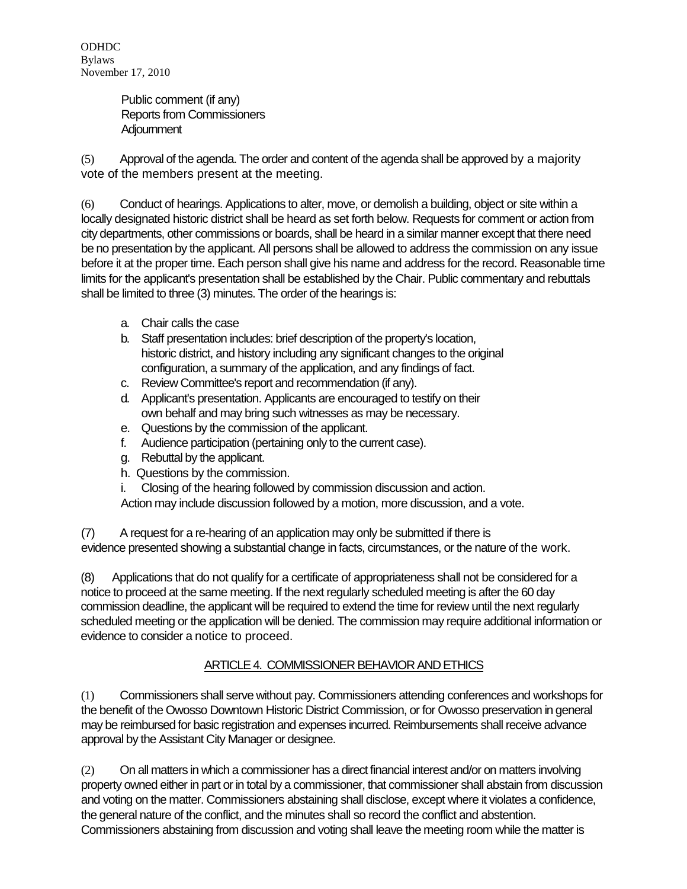ODHDC Bylaws November 17, 2010

> Public comment (if any) Reports from Commissioners **Adjournment**

(5) Approval of the agenda. The order and content of the agenda shall be approved by a majority vote of the members present at the meeting.

(6) Conduct of hearings. Applications to alter, move, or demolish a building, object or site within a locally designated historic district shall be heard as set forth below. Requests for comment or action from city departments, other commissions or boards, shall be heard in a similar manner except that there need be no presentation by the applicant. All persons shall be allowed to address the commission on any issue before it at the proper time. Each person shall give his name and address for the record. Reasonable time limits for the applicant's presentation shall be established by the Chair. Public commentary and rebuttals shall be limited to three (3) minutes. The order of the hearings is:

- a. Chair calls the case
- b. Staff presentation includes: brief description of the property's location, historic district, and history including any significant changes to the original configuration, a summary of the application, and any findings of fact.
- c. Review Committee's report and recommendation (if any).
- d. Applicant's presentation. Applicants are encouraged to testify on their own behalf and may bring such witnesses as may be necessary.
- e. Questions by the commission of the applicant.
- f. Audience participation (pertaining only to the current case).
- g. Rebuttal by the applicant.
- h. Questions by the commission.
- i. Closing of the hearing followed by commission discussion and action.

Action may include discussion followed by a motion, more discussion, and a vote.

(7) A request for a re-hearing of an application may only be submitted if there is evidence presented showing a substantial change in facts, circumstances, or the nature of the work.

(8) Applications that do not qualify for a certificate of appropriateness shall not be considered for a notice to proceed at the same meeting. If the next regularly scheduled meeting is after the 60 day commission deadline, the applicant will be required to extend the time for review until the next regularly scheduled meeting or the application will be denied. The commission may require additional information or evidence to consider a notice to proceed.

# ARTICLE 4. COMMISSIONER BEHAVIOR AND ETHICS

(1) Commissioners shall serve without pay. Commissioners attending conferences and workshops for the benefit of the Owosso Downtown Historic District Commission, or for Owosso preservation in general may be reimbursed for basic registration and expenses incurred. Reimbursements shall receive advance approval by the Assistant City Manager or designee.

(2) On all matters in which a commissioner has a direct financial interest and/or on matters involving property owned either in part or in total by a commissioner, that commissioner shall abstain from discussion and voting on the matter. Commissioners abstaining shall disclose, except where it violates a confidence, the general nature of the conflict, and the minutes shall so record the conflict and abstention. Commissioners abstaining from discussion and voting shall leave the meeting room while the matter is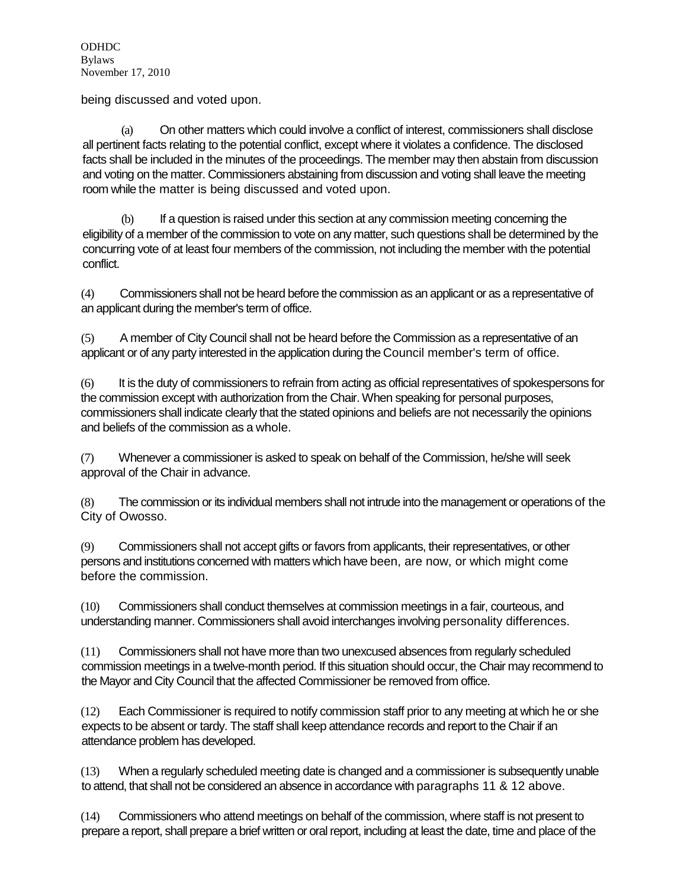being discussed and voted upon.

(a) On other matters which could involve a conflict of interest, commissioners shall disclose all pertinent facts relating to the potential conflict, except where it violates a confidence. The disclosed facts shall be included in the minutes of the proceedings. The member may then abstain from discussion and voting on the matter. Commissioners abstaining from discussion and voting shall leave the meeting room while the matter is being discussed and voted upon.

(b) If a question is raised under this section at any commission meeting concerning the eligibility of a member of the commission to vote on any matter, such questions shall be determined by the concurring vote of at least four members of the commission, not including the member with the potential conflict.

(4) Commissioners shall not be heard before the commission as an applicant or as a representative of an applicant during the member's term of office.

(5) A member of City Council shall not be heard before the Commission as a representative of an applicant or of any party interested in the application during the Council member's term of office.

(6) It is the duty of commissioners to refrain from acting as official representatives of spokespersons for the commission except with authorization from the Chair. When speaking for personal purposes, commissioners shall indicate clearly that the stated opinions and beliefs are not necessarily the opinions and beliefs of the commission as a whole.

(7) Whenever a commissioner is asked to speak on behalf of the Commission, he/she will seek approval of the Chair in advance.

(8) The commission or its individual members shall not intrude into the management or operations of the City of Owosso.

(9) Commissioners shall not accept gifts or favors from applicants, their representatives, or other persons and institutions concerned with matters which have been, are now, or which might come before the commission.

(10) Commissioners shall conduct themselves at commission meetings in a fair, courteous, and understanding manner. Commissioners shall avoid interchanges involving personality differences.

(11) Commissioners shall not have more than two unexcused absences from regularly scheduled commission meetings in a twelve-month period. If this situation should occur, the Chair may recommend to the Mayor and City Council that the affected Commissioner be removed from office.

(12) Each Commissioner is required to notify commission staff prior to any meeting at which he or she expects to be absent or tardy. The staff shall keep attendance records and report to the Chair if an attendance problem has developed.

(13) When a regularly scheduled meeting date is changed and a commissioner is subsequently unable to attend, that shall not be considered an absence in accordance with paragraphs 11 & 12 above.

(14) Commissioners who attend meetings on behalf of the commission, where staff is not present to prepare a report, shall prepare a brief written or oral report, including at least the date, time and place of the